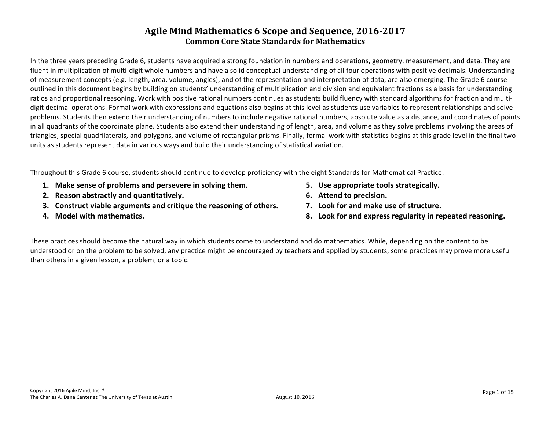In the three years preceding Grade 6, students have acquired a strong foundation in numbers and operations, geometry, measurement, and data. They are fluent in multiplication of multi-digit whole numbers and have a solid conceptual understanding of all four operations with positive decimals. Understanding of measurement concepts (e.g. length, area, volume, angles), and of the representation and interpretation of data, are also emerging. The Grade 6 course outlined in this document begins by building on students' understanding of multiplication and division and equivalent fractions as a basis for understanding ratios and proportional reasoning. Work with positive rational numbers continues as students build fluency with standard algorithms for fraction and multidigit decimal operations. Formal work with expressions and equations also begins at this level as students use variables to represent relationships and solve problems. Students then extend their understanding of numbers to include negative rational numbers, absolute value as a distance, and coordinates of points in all quadrants of the coordinate plane. Students also extend their understanding of length, area, and volume as they solve problems involving the areas of triangles, special quadrilaterals, and polygons, and volume of rectangular prisms. Finally, formal work with statistics begins at this grade level in the final two units as students represent data in various ways and build their understanding of statistical variation.

Throughout this Grade 6 course, students should continue to develop proficiency with the eight Standards for Mathematical Practice:

- **1. Make sense of problems and persevere in solving them. 5. Use appropriate tools strategically.**
- **2.** Reason abstractly and quantitatively. **1.1. In the case of the contract of the contract of the contract of the contract of the contract of the contract of the contract of the contract of the contract of the contract o**
- **3.** Construct viable arguments and critique the reasoning of others. **7.** Look for and make use of structure.
- 
- 
- 
- 
- **4.** Model with mathematics. **8. Look** for and express regularity in repeated reasoning.

These practices should become the natural way in which students come to understand and do mathematics. While, depending on the content to be understood or on the problem to be solved, any practice might be encouraged by teachers and applied by students, some practices may prove more useful than others in a given lesson, a problem, or a topic.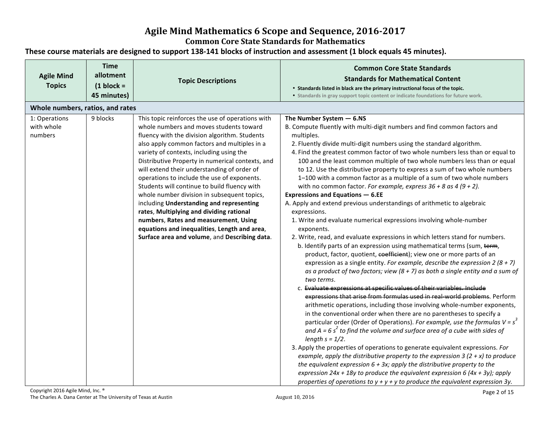### **Agile Mind Mathematics 6 Scope and Sequence, 2016-2017**

#### **Common Core State Standards for Mathematics**

#### These course materials are designed to support 138-141 blocks of instruction and assessment (1 block equals 45 minutes).

| <b>Time</b><br>allotment<br><b>Agile Mind</b><br><b>Topics</b><br>$(1 \text{ block} =$<br>45 minutes) | <b>Topic Descriptions</b>                                                                                                                                                                                                                                                                                                                                                                                                                                                                                                                                                                                                                                                                                                   | <b>Common Core State Standards</b><br><b>Standards for Mathematical Content</b><br>• Standards listed in black are the primary instructional focus of the topic.<br>• Standards in gray support topic content or indicate foundations for future work.                                                                                                                                                                                                                                                                                                                                                                                                                                                                                                                                                                                                                                                                                                                                                                                                                                                                                                                                                                                                                                                                                                                                                                                                                                                                                                                                                                                                                                                                                                                                                                                                                                                                                                                                                                                                                                                                                                              |
|-------------------------------------------------------------------------------------------------------|-----------------------------------------------------------------------------------------------------------------------------------------------------------------------------------------------------------------------------------------------------------------------------------------------------------------------------------------------------------------------------------------------------------------------------------------------------------------------------------------------------------------------------------------------------------------------------------------------------------------------------------------------------------------------------------------------------------------------------|---------------------------------------------------------------------------------------------------------------------------------------------------------------------------------------------------------------------------------------------------------------------------------------------------------------------------------------------------------------------------------------------------------------------------------------------------------------------------------------------------------------------------------------------------------------------------------------------------------------------------------------------------------------------------------------------------------------------------------------------------------------------------------------------------------------------------------------------------------------------------------------------------------------------------------------------------------------------------------------------------------------------------------------------------------------------------------------------------------------------------------------------------------------------------------------------------------------------------------------------------------------------------------------------------------------------------------------------------------------------------------------------------------------------------------------------------------------------------------------------------------------------------------------------------------------------------------------------------------------------------------------------------------------------------------------------------------------------------------------------------------------------------------------------------------------------------------------------------------------------------------------------------------------------------------------------------------------------------------------------------------------------------------------------------------------------------------------------------------------------------------------------------------------------|
| Whole numbers, ratios, and rates                                                                      |                                                                                                                                                                                                                                                                                                                                                                                                                                                                                                                                                                                                                                                                                                                             |                                                                                                                                                                                                                                                                                                                                                                                                                                                                                                                                                                                                                                                                                                                                                                                                                                                                                                                                                                                                                                                                                                                                                                                                                                                                                                                                                                                                                                                                                                                                                                                                                                                                                                                                                                                                                                                                                                                                                                                                                                                                                                                                                                     |
| 9 blocks<br>1: Operations<br>with whole<br>numbers                                                    | This topic reinforces the use of operations with<br>whole numbers and moves students toward<br>fluency with the division algorithm. Students<br>also apply common factors and multiples in a<br>variety of contexts, including using the<br>Distributive Property in numerical contexts, and<br>will extend their understanding of order of<br>operations to include the use of exponents.<br>Students will continue to build fluency with<br>whole number division in subsequent topics,<br>including Understanding and representing<br>rates, Multiplying and dividing rational<br>numbers, Rates and measurement, Using<br>equations and inequalities, Length and area,<br>Surface area and volume, and Describing data. | The Number System $-6.NS$<br>B. Compute fluently with multi-digit numbers and find common factors and<br>multiples.<br>2. Fluently divide multi-digit numbers using the standard algorithm.<br>4. Find the greatest common factor of two whole numbers less than or equal to<br>100 and the least common multiple of two whole numbers less than or equal<br>to 12. Use the distributive property to express a sum of two whole numbers<br>1-100 with a common factor as a multiple of a sum of two whole numbers<br>with no common factor. For example, express $36 + 8$ as $4 (9 + 2)$ .<br><b>Expressions and Equations - 6.EE</b><br>A. Apply and extend previous understandings of arithmetic to algebraic<br>expressions.<br>1. Write and evaluate numerical expressions involving whole-number<br>exponents.<br>2. Write, read, and evaluate expressions in which letters stand for numbers.<br>b. Identify parts of an expression using mathematical terms (sum, term,<br>product, factor, quotient, coefficient); view one or more parts of an<br>expression as a single entity. For example, describe the expression 2 (8 + 7)<br>as a product of two factors; view $(8 + 7)$ as both a single entity and a sum of<br>two terms.<br>c. Evaluate expressions at specific values of their variables. Include<br>expressions that arise from formulas used in real-world problems. Perform<br>arithmetic operations, including those involving whole-number exponents,<br>in the conventional order when there are no parentheses to specify a<br>particular order (Order of Operations). For example, use the formulas $V = s^3$<br>and $A = 6 s2$ to find the volume and surface area of a cube with sides of<br>length $s = 1/2$ .<br>3. Apply the properties of operations to generate equivalent expressions. For<br>example, apply the distributive property to the expression 3 (2 + x) to produce<br>the equivalent expression $6 + 3x$ ; apply the distributive property to the<br>expression 24x + 18y to produce the equivalent expression 6 (4x + 3y); apply<br>properties of operations to $y + y + y$ to produce the equivalent expression 3y. |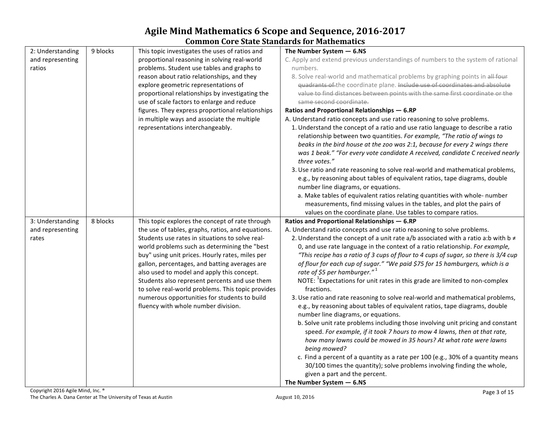|                  |          | common core baac banaaras ior radicmatics         |                                                                                         |
|------------------|----------|---------------------------------------------------|-----------------------------------------------------------------------------------------|
| 2: Understanding | 9 blocks | This topic investigates the uses of ratios and    | The Number System $-6.$ NS                                                              |
| and representing |          | proportional reasoning in solving real-world      | C. Apply and extend previous understandings of numbers to the system of rational        |
| ratios           |          | problems. Student use tables and graphs to        | numbers.                                                                                |
|                  |          | reason about ratio relationships, and they        | 8. Solve real-world and mathematical problems by graphing points in all four            |
|                  |          | explore geometric representations of              | quadrants of the coordinate plane. Include use of coordinates and absolute              |
|                  |          | proportional relationships by investigating the   | value to find distances between points with the same first coordinate or the            |
|                  |          | use of scale factors to enlarge and reduce        | same second coordinate.                                                                 |
|                  |          | figures. They express proportional relationships  | Ratios and Proportional Relationships - 6.RP                                            |
|                  |          | in multiple ways and associate the multiple       | A. Understand ratio concepts and use ratio reasoning to solve problems.                 |
|                  |          | representations interchangeably.                  | 1. Understand the concept of a ratio and use ratio language to describe a ratio         |
|                  |          |                                                   | relationship between two quantities. For example, "The ratio of wings to                |
|                  |          |                                                   | beaks in the bird house at the zoo was 2:1, because for every 2 wings there             |
|                  |          |                                                   | was 1 beak." "For every vote candidate A received, candidate C received nearly          |
|                  |          |                                                   | three votes."                                                                           |
|                  |          |                                                   | 3. Use ratio and rate reasoning to solve real-world and mathematical problems,          |
|                  |          |                                                   | e.g., by reasoning about tables of equivalent ratios, tape diagrams, double             |
|                  |          |                                                   | number line diagrams, or equations.                                                     |
|                  |          |                                                   | a. Make tables of equivalent ratios relating quantities with whole- number              |
|                  |          |                                                   | measurements, find missing values in the tables, and plot the pairs of                  |
|                  |          |                                                   | values on the coordinate plane. Use tables to compare ratios.                           |
| 3: Understanding | 8 blocks | This topic explores the concept of rate through   | Ratios and Proportional Relationships - 6.RP                                            |
| and representing |          | the use of tables, graphs, ratios, and equations. | A. Understand ratio concepts and use ratio reasoning to solve problems.                 |
| rates            |          | Students use rates in situations to solve real-   | 2. Understand the concept of a unit rate a/b associated with a ratio a:b with b $\neq$  |
|                  |          | world problems such as determining the "best      | 0, and use rate language in the context of a ratio relationship. For example,           |
|                  |          | buy" using unit prices. Hourly rates, miles per   | "This recipe has a ratio of 3 cups of flour to 4 cups of sugar, so there is 3/4 cup     |
|                  |          | gallon, percentages, and batting averages are     | of flour for each cup of sugar." "We paid \$75 for 15 hamburgers, which is a            |
|                  |          | also used to model and apply this concept.        | rate of \$5 per hamburger." $1$                                                         |
|                  |          | Students also represent percents and use them     | NOTE: <sup>1</sup> Expectations for unit rates in this grade are limited to non-complex |
|                  |          | to solve real-world problems. This topic provides | fractions.                                                                              |
|                  |          | numerous opportunities for students to build      | 3. Use ratio and rate reasoning to solve real-world and mathematical problems,          |
|                  |          | fluency with whole number division.               | e.g., by reasoning about tables of equivalent ratios, tape diagrams, double             |
|                  |          |                                                   | number line diagrams, or equations.                                                     |
|                  |          |                                                   | b. Solve unit rate problems including those involving unit pricing and constant         |
|                  |          |                                                   | speed. For example, if it took 7 hours to mow 4 lawns, then at that rate,               |
|                  |          |                                                   | how many lawns could be mowed in 35 hours? At what rate were lawns                      |
|                  |          |                                                   | being mowed?                                                                            |
|                  |          |                                                   | c. Find a percent of a quantity as a rate per 100 (e.g., 30% of a quantity means        |
|                  |          |                                                   | 30/100 times the quantity); solve problems involving finding the whole,                 |
|                  |          |                                                   | given a part and the percent.                                                           |
|                  |          |                                                   | The Number System $-6.$ NS                                                              |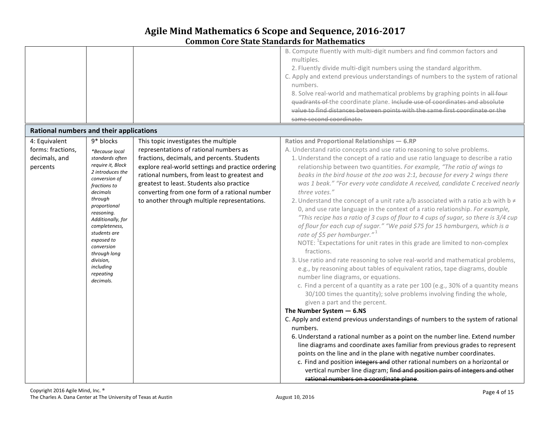| Rational numbers and their applications |                                                                                                                                                                                                         |                                                                                                   | B. Compute fluently with multi-digit numbers and find common factors and<br>multiples.<br>2. Fluently divide multi-digit numbers using the standard algorithm.<br>C. Apply and extend previous understandings of numbers to the system of rational<br>numbers.<br>8. Solve real-world and mathematical problems by graphing points in all four<br>quadrants of the coordinate plane. Include use of coordinates and absolute<br>value to find distances between points with the same first coordinate or the<br>same second coordinate.                                                                                                                                                                                                                                                                                                                                                                                                                                                                                                                                                                                                                                                                                                                                                                                                                                                                                                                                                             |
|-----------------------------------------|---------------------------------------------------------------------------------------------------------------------------------------------------------------------------------------------------------|---------------------------------------------------------------------------------------------------|-----------------------------------------------------------------------------------------------------------------------------------------------------------------------------------------------------------------------------------------------------------------------------------------------------------------------------------------------------------------------------------------------------------------------------------------------------------------------------------------------------------------------------------------------------------------------------------------------------------------------------------------------------------------------------------------------------------------------------------------------------------------------------------------------------------------------------------------------------------------------------------------------------------------------------------------------------------------------------------------------------------------------------------------------------------------------------------------------------------------------------------------------------------------------------------------------------------------------------------------------------------------------------------------------------------------------------------------------------------------------------------------------------------------------------------------------------------------------------------------------------|
|                                         |                                                                                                                                                                                                         |                                                                                                   |                                                                                                                                                                                                                                                                                                                                                                                                                                                                                                                                                                                                                                                                                                                                                                                                                                                                                                                                                                                                                                                                                                                                                                                                                                                                                                                                                                                                                                                                                                     |
| 4: Equivalent                           | 9* blocks                                                                                                                                                                                               | This topic investigates the multiple                                                              | Ratios and Proportional Relationships - 6.RP                                                                                                                                                                                                                                                                                                                                                                                                                                                                                                                                                                                                                                                                                                                                                                                                                                                                                                                                                                                                                                                                                                                                                                                                                                                                                                                                                                                                                                                        |
| forms: fractions,                       | *Because local                                                                                                                                                                                          | representations of rational numbers as                                                            | A. Understand ratio concepts and use ratio reasoning to solve problems.                                                                                                                                                                                                                                                                                                                                                                                                                                                                                                                                                                                                                                                                                                                                                                                                                                                                                                                                                                                                                                                                                                                                                                                                                                                                                                                                                                                                                             |
| decimals, and                           | standards often<br>require it, Block                                                                                                                                                                    | fractions, decimals, and percents. Students                                                       | 1. Understand the concept of a ratio and use ratio language to describe a ratio                                                                                                                                                                                                                                                                                                                                                                                                                                                                                                                                                                                                                                                                                                                                                                                                                                                                                                                                                                                                                                                                                                                                                                                                                                                                                                                                                                                                                     |
| percents                                | 2 introduces the                                                                                                                                                                                        | explore real-world settings and practice ordering<br>rational numbers, from least to greatest and | relationship between two quantities. For example, "The ratio of wings to<br>beaks in the bird house at the zoo was 2:1, because for every 2 wings there                                                                                                                                                                                                                                                                                                                                                                                                                                                                                                                                                                                                                                                                                                                                                                                                                                                                                                                                                                                                                                                                                                                                                                                                                                                                                                                                             |
|                                         | conversion of                                                                                                                                                                                           | greatest to least. Students also practice                                                         | was 1 beak." "For every vote candidate A received, candidate C received nearly                                                                                                                                                                                                                                                                                                                                                                                                                                                                                                                                                                                                                                                                                                                                                                                                                                                                                                                                                                                                                                                                                                                                                                                                                                                                                                                                                                                                                      |
|                                         | fractions to                                                                                                                                                                                            |                                                                                                   |                                                                                                                                                                                                                                                                                                                                                                                                                                                                                                                                                                                                                                                                                                                                                                                                                                                                                                                                                                                                                                                                                                                                                                                                                                                                                                                                                                                                                                                                                                     |
|                                         | decimals<br>through<br>proportional<br>reasoning.<br>Additionally, for<br>completeness,<br>students are<br>exposed to<br>conversion<br>through long<br>division,<br>including<br>repeating<br>decimals. | converting from one form of a rational number<br>to another through multiple representations.     | three votes."<br>2. Understand the concept of a unit rate a/b associated with a ratio a:b with b $\neq$<br>0, and use rate language in the context of a ratio relationship. For example,<br>"This recipe has a ratio of 3 cups of flour to 4 cups of sugar, so there is 3/4 cup<br>of flour for each cup of sugar." "We paid \$75 for 15 hamburgers, which is a<br>rate of \$5 per hamburger." $1$<br>NOTE: <sup>1</sup> Expectations for unit rates in this grade are limited to non-complex<br>fractions.<br>3. Use ratio and rate reasoning to solve real-world and mathematical problems,<br>e.g., by reasoning about tables of equivalent ratios, tape diagrams, double<br>number line diagrams, or equations.<br>c. Find a percent of a quantity as a rate per 100 (e.g., 30% of a quantity means<br>30/100 times the quantity); solve problems involving finding the whole,<br>given a part and the percent.<br>The Number System $-6.$ NS<br>C. Apply and extend previous understandings of numbers to the system of rational<br>numbers.<br>6. Understand a rational number as a point on the number line. Extend number<br>line diagrams and coordinate axes familiar from previous grades to represent<br>points on the line and in the plane with negative number coordinates.<br>c. Find and position integers and other rational numbers on a horizontal or<br>vertical number line diagram; find and position pairs of integers and other<br>rational numbers on a coordinate plane. |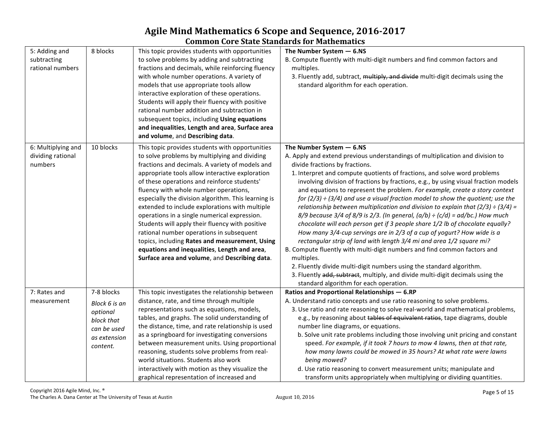# **Agile Mind Mathematics 6 Scope and Sequence, 2016-2017**

| <b>Common Core State Standards for Mathematics</b> |  |
|----------------------------------------------------|--|
|----------------------------------------------------|--|

| 5: Adding and<br>subtracting<br>rational numbers   | 8 blocks                                                                                         | This topic provides students with opportunities<br>to solve problems by adding and subtracting<br>fractions and decimals, while reinforcing fluency<br>with whole number operations. A variety of<br>models that use appropriate tools allow<br>interactive exploration of these operations.<br>Students will apply their fluency with positive<br>rational number addition and subtraction in<br>subsequent topics, including Using equations<br>and inequalities, Length and area, Surface area<br>and volume, and Describing data.                                                                                                                                                                     | The Number System $-6.$ NS<br>B. Compute fluently with multi-digit numbers and find common factors and<br>multiples.<br>3. Fluently add, subtract, multiply, and divide multi-digit decimals using the<br>standard algorithm for each operation.                                                                                                                                                                                                                                                                                                                                                                                                                                                                                                                                                                                                                                                                                                                                                                                                                                                                                                                                                          |
|----------------------------------------------------|--------------------------------------------------------------------------------------------------|-----------------------------------------------------------------------------------------------------------------------------------------------------------------------------------------------------------------------------------------------------------------------------------------------------------------------------------------------------------------------------------------------------------------------------------------------------------------------------------------------------------------------------------------------------------------------------------------------------------------------------------------------------------------------------------------------------------|-----------------------------------------------------------------------------------------------------------------------------------------------------------------------------------------------------------------------------------------------------------------------------------------------------------------------------------------------------------------------------------------------------------------------------------------------------------------------------------------------------------------------------------------------------------------------------------------------------------------------------------------------------------------------------------------------------------------------------------------------------------------------------------------------------------------------------------------------------------------------------------------------------------------------------------------------------------------------------------------------------------------------------------------------------------------------------------------------------------------------------------------------------------------------------------------------------------|
| 6: Multiplying and<br>dividing rational<br>numbers | 10 blocks                                                                                        | This topic provides students with opportunities<br>to solve problems by multiplying and dividing<br>fractions and decimals. A variety of models and<br>appropriate tools allow interactive exploration<br>of these operations and reinforce students'<br>fluency with whole number operations,<br>especially the division algorithm. This learning is<br>extended to include explorations with multiple<br>operations in a single numerical expression.<br>Students will apply their fluency with positive<br>rational number operations in subsequent<br>topics, including Rates and measurement, Using<br>equations and inequalities, Length and area,<br>Surface area and volume, and Describing data. | The Number System $-6.$ NS<br>A. Apply and extend previous understandings of multiplication and division to<br>divide fractions by fractions.<br>1. Interpret and compute quotients of fractions, and solve word problems<br>involving division of fractions by fractions, e.g., by using visual fraction models<br>and equations to represent the problem. For example, create a story context<br>for $(2/3) \div (3/4)$ and use a visual fraction model to show the quotient; use the<br>relationship between multiplication and division to explain that (2/3) $\div$ (3/4) =<br>$8/9$ because 3/4 of 8/9 is 2/3. (In general, $(a/b) \div (c/d) = ad/bc$ .) How much<br>chocolate will each person get if 3 people share 1/2 lb of chocolate equally?<br>How many 3/4-cup servings are in 2/3 of a cup of yogurt? How wide is a<br>rectangular strip of land with length 3/4 mi and area 1/2 square mi?<br>B. Compute fluently with multi-digit numbers and find common factors and<br>multiples.<br>2. Fluently divide multi-digit numbers using the standard algorithm.<br>3. Fluently add, subtract, multiply, and divide multi-digit decimals using the<br>standard algorithm for each operation. |
| 7: Rates and<br>measurement                        | 7-8 blocks<br>Block 6 is an<br>optional<br>block that<br>can be used<br>as extension<br>content. | This topic investigates the relationship between<br>distance, rate, and time through multiple<br>representations such as equations, models,<br>tables, and graphs. The solid understanding of<br>the distance, time, and rate relationship is used<br>as a springboard for investigating conversions<br>between measurement units. Using proportional<br>reasoning, students solve problems from real-<br>world situations. Students also work<br>interactively with motion as they visualize the<br>graphical representation of increased and                                                                                                                                                            | Ratios and Proportional Relationships - 6.RP<br>A. Understand ratio concepts and use ratio reasoning to solve problems.<br>3. Use ratio and rate reasoning to solve real-world and mathematical problems,<br>e.g., by reasoning about tables of equivalent ratios, tape diagrams, double<br>number line diagrams, or equations.<br>b. Solve unit rate problems including those involving unit pricing and constant<br>speed. For example, if it took 7 hours to mow 4 lawns, then at that rate,<br>how many lawns could be mowed in 35 hours? At what rate were lawns<br>being mowed?<br>d. Use ratio reasoning to convert measurement units; manipulate and<br>transform units appropriately when multiplying or dividing quantities.                                                                                                                                                                                                                                                                                                                                                                                                                                                                    |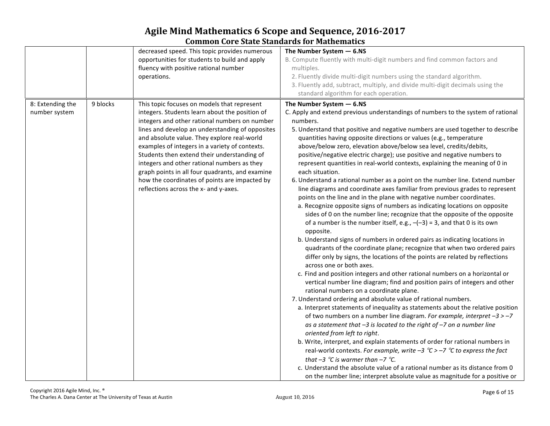|                                   |          | decreased speed. This topic provides numerous<br>opportunities for students to build and apply<br>fluency with positive rational number<br>operations.                                                                                                                                                                                                                                                                                                                                                                                        | The Number System $-6.$ NS<br>B. Compute fluently with multi-digit numbers and find common factors and<br>multiples.<br>2. Fluently divide multi-digit numbers using the standard algorithm.<br>3. Fluently add, subtract, multiply, and divide multi-digit decimals using the<br>standard algorithm for each operation.                                                                                                                                                                                                                                                                                                                                                                                                                                                                                                                                                                                                                                                                                                                                                                                                                                                                                                                                                                                                                                                                                                                                                                                                                                                                                                                                                                                                                                                                                                                                                                                                                                                                                                                                                                                                                                                                                                                      |
|-----------------------------------|----------|-----------------------------------------------------------------------------------------------------------------------------------------------------------------------------------------------------------------------------------------------------------------------------------------------------------------------------------------------------------------------------------------------------------------------------------------------------------------------------------------------------------------------------------------------|-----------------------------------------------------------------------------------------------------------------------------------------------------------------------------------------------------------------------------------------------------------------------------------------------------------------------------------------------------------------------------------------------------------------------------------------------------------------------------------------------------------------------------------------------------------------------------------------------------------------------------------------------------------------------------------------------------------------------------------------------------------------------------------------------------------------------------------------------------------------------------------------------------------------------------------------------------------------------------------------------------------------------------------------------------------------------------------------------------------------------------------------------------------------------------------------------------------------------------------------------------------------------------------------------------------------------------------------------------------------------------------------------------------------------------------------------------------------------------------------------------------------------------------------------------------------------------------------------------------------------------------------------------------------------------------------------------------------------------------------------------------------------------------------------------------------------------------------------------------------------------------------------------------------------------------------------------------------------------------------------------------------------------------------------------------------------------------------------------------------------------------------------------------------------------------------------------------------------------------------------|
| 8: Extending the<br>number system | 9 blocks | This topic focuses on models that represent<br>integers. Students learn about the position of<br>integers and other rational numbers on number<br>lines and develop an understanding of opposites<br>and absolute value. They explore real-world<br>examples of integers in a variety of contexts.<br>Students then extend their understanding of<br>integers and other rational numbers as they<br>graph points in all four quadrants, and examine<br>how the coordinates of points are impacted by<br>reflections across the x- and y-axes. | The Number System $-6.$ NS<br>C. Apply and extend previous understandings of numbers to the system of rational<br>numbers.<br>5. Understand that positive and negative numbers are used together to describe<br>quantities having opposite directions or values (e.g., temperature<br>above/below zero, elevation above/below sea level, credits/debits,<br>positive/negative electric charge); use positive and negative numbers to<br>represent quantities in real-world contexts, explaining the meaning of 0 in<br>each situation.<br>6. Understand a rational number as a point on the number line. Extend number<br>line diagrams and coordinate axes familiar from previous grades to represent<br>points on the line and in the plane with negative number coordinates.<br>a. Recognize opposite signs of numbers as indicating locations on opposite<br>sides of 0 on the number line; recognize that the opposite of the opposite<br>of a number is the number itself, e.g., $-(-3) = 3$ , and that 0 is its own<br>opposite.<br>b. Understand signs of numbers in ordered pairs as indicating locations in<br>quadrants of the coordinate plane; recognize that when two ordered pairs<br>differ only by signs, the locations of the points are related by reflections<br>across one or both axes.<br>c. Find and position integers and other rational numbers on a horizontal or<br>vertical number line diagram; find and position pairs of integers and other<br>rational numbers on a coordinate plane.<br>7. Understand ordering and absolute value of rational numbers.<br>a. Interpret statements of inequality as statements about the relative position<br>of two numbers on a number line diagram. For example, interpret $-3 > -7$<br>as a statement that $-3$ is located to the right of $-7$ on a number line<br>oriented from left to right.<br>b. Write, interpret, and explain statements of order for rational numbers in<br>real-world contexts. For example, write $-3$ °C > $-7$ °C to express the fact<br>that $-3$ °C is warmer than $-7$ °C.<br>c. Understand the absolute value of a rational number as its distance from 0<br>on the number line; interpret absolute value as magnitude for a positive or |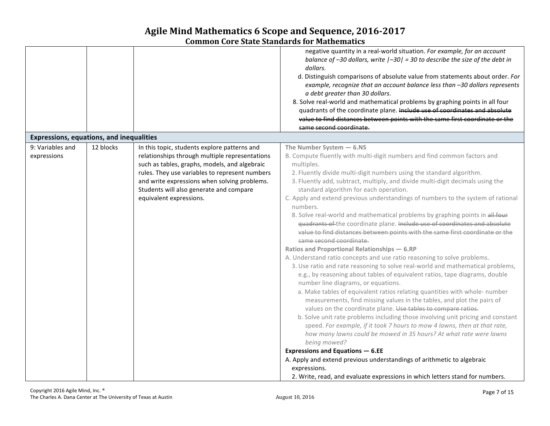|                                                 |           |                                                                                                                                                                                                                                                                                                                         | negative quantity in a real-world situation. For example, for an account<br>balance of $-30$ dollars, write $ -30 $ = 30 to describe the size of the debt in<br>dollars.<br>d. Distinguish comparisons of absolute value from statements about order. For<br>example, recognize that an account balance less than -30 dollars represents<br>a debt greater than 30 dollars.<br>8. Solve real-world and mathematical problems by graphing points in all four<br>quadrants of the coordinate plane. Include use of coordinates and absolute<br>value to find distances between points with the same first coordinate or the<br>same second coordinate.                                                                                                                                                                                                                                                                                                                                                                                                                                                                                                                                                                                                                                                                                                                                                                                                                                                                                                                                                                                                                                                                                     |
|-------------------------------------------------|-----------|-------------------------------------------------------------------------------------------------------------------------------------------------------------------------------------------------------------------------------------------------------------------------------------------------------------------------|------------------------------------------------------------------------------------------------------------------------------------------------------------------------------------------------------------------------------------------------------------------------------------------------------------------------------------------------------------------------------------------------------------------------------------------------------------------------------------------------------------------------------------------------------------------------------------------------------------------------------------------------------------------------------------------------------------------------------------------------------------------------------------------------------------------------------------------------------------------------------------------------------------------------------------------------------------------------------------------------------------------------------------------------------------------------------------------------------------------------------------------------------------------------------------------------------------------------------------------------------------------------------------------------------------------------------------------------------------------------------------------------------------------------------------------------------------------------------------------------------------------------------------------------------------------------------------------------------------------------------------------------------------------------------------------------------------------------------------------|
| <b>Expressions, equations, and inequalities</b> |           |                                                                                                                                                                                                                                                                                                                         |                                                                                                                                                                                                                                                                                                                                                                                                                                                                                                                                                                                                                                                                                                                                                                                                                                                                                                                                                                                                                                                                                                                                                                                                                                                                                                                                                                                                                                                                                                                                                                                                                                                                                                                                          |
| 9: Variables and<br>expressions                 | 12 blocks | In this topic, students explore patterns and<br>relationships through multiple representations<br>such as tables, graphs, models, and algebraic<br>rules. They use variables to represent numbers<br>and write expressions when solving problems.<br>Students will also generate and compare<br>equivalent expressions. | The Number System $-6.$ NS<br>B. Compute fluently with multi-digit numbers and find common factors and<br>multiples.<br>2. Fluently divide multi-digit numbers using the standard algorithm.<br>3. Fluently add, subtract, multiply, and divide multi-digit decimals using the<br>standard algorithm for each operation.<br>C. Apply and extend previous understandings of numbers to the system of rational<br>numbers.<br>8. Solve real-world and mathematical problems by graphing points in all four<br>quadrants of the coordinate plane. Include use of coordinates and absolute<br>value to find distances between points with the same first coordinate or the<br>same second coordinate.<br>Ratios and Proportional Relationships - 6.RP<br>A. Understand ratio concepts and use ratio reasoning to solve problems.<br>3. Use ratio and rate reasoning to solve real-world and mathematical problems,<br>e.g., by reasoning about tables of equivalent ratios, tape diagrams, double<br>number line diagrams, or equations.<br>a. Make tables of equivalent ratios relating quantities with whole- number<br>measurements, find missing values in the tables, and plot the pairs of<br>values on the coordinate plane. Use tables to compare ratios.<br>b. Solve unit rate problems including those involving unit pricing and constant<br>speed. For example, if it took 7 hours to mow 4 lawns, then at that rate,<br>how many lawns could be mowed in 35 hours? At what rate were lawns<br>being mowed?<br><b>Expressions and Equations - 6.EE</b><br>A. Apply and extend previous understandings of arithmetic to algebraic<br>expressions.<br>2. Write, read, and evaluate expressions in which letters stand for numbers. |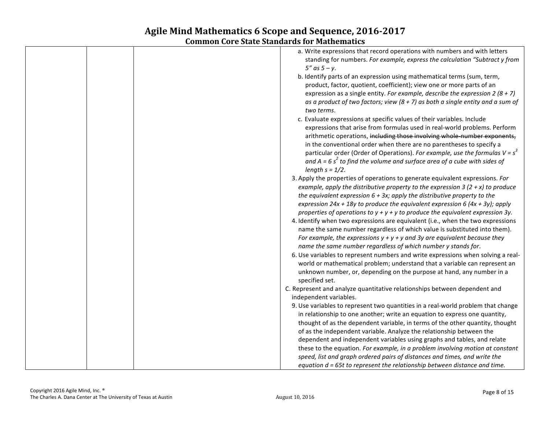| a. Write expressions that record operations with numbers and with letters                                                                                   |
|-------------------------------------------------------------------------------------------------------------------------------------------------------------|
| standing for numbers. For example, express the calculation "Subtract y from<br>$5''$ as $5 - y$ .                                                           |
| b. Identify parts of an expression using mathematical terms (sum, term,                                                                                     |
| product, factor, quotient, coefficient); view one or more parts of an                                                                                       |
| expression as a single entity. For example, describe the expression 2 (8 + 7)                                                                               |
| as a product of two factors; view $(8 + 7)$ as both a single entity and a sum of<br>two terms.                                                              |
| c. Evaluate expressions at specific values of their variables. Include                                                                                      |
| expressions that arise from formulas used in real-world problems. Perform<br>arithmetic operations, including those involving whole-number exponents,       |
| in the conventional order when there are no parentheses to specify a                                                                                        |
| particular order (Order of Operations). For example, use the formulas $V = s^3$                                                                             |
| and $A = 6 s2$ to find the volume and surface area of a cube with sides of                                                                                  |
| length $s = 1/2$ .                                                                                                                                          |
| 3. Apply the properties of operations to generate equivalent expressions. For                                                                               |
| example, apply the distributive property to the expression 3 (2 + x) to produce                                                                             |
| the equivalent expression $6 + 3x$ ; apply the distributive property to the<br>expression 24x + 18y to produce the equivalent expression 6 (4x + 3y); apply |
| properties of operations to $y + y + y$ to produce the equivalent expression 3y.                                                                            |
| 4. Identify when two expressions are equivalent (i.e., when the two expressions                                                                             |
| name the same number regardless of which value is substituted into them).                                                                                   |
| For example, the expressions $y + y + y$ and 3y are equivalent because they                                                                                 |
| name the same number regardless of which number y stands for.                                                                                               |
| 6. Use variables to represent numbers and write expressions when solving a real-                                                                            |
| world or mathematical problem; understand that a variable can represent an<br>unknown number, or, depending on the purpose at hand, any number in a         |
| specified set.                                                                                                                                              |
| C. Represent and analyze quantitative relationships between dependent and                                                                                   |
| independent variables.                                                                                                                                      |
| 9. Use variables to represent two quantities in a real-world problem that change                                                                            |
| in relationship to one another; write an equation to express one quantity,                                                                                  |
| thought of as the dependent variable, in terms of the other quantity, thought                                                                               |
| of as the independent variable. Analyze the relationship between the<br>dependent and independent variables using graphs and tables, and relate             |
| these to the equation. For example, in a problem involving motion at constant                                                                               |
| speed, list and graph ordered pairs of distances and times, and write the                                                                                   |
| equation $d = 65t$ to represent the relationship between distance and time.                                                                                 |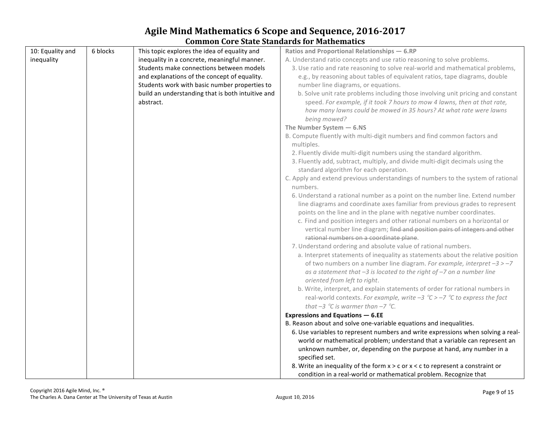| 10: Equality and | 6 blocks | This topic explores the idea of equality and      | Ratios and Proportional Relationships - 6.RP                                                                                                                                                          |
|------------------|----------|---------------------------------------------------|-------------------------------------------------------------------------------------------------------------------------------------------------------------------------------------------------------|
| inequality       |          | inequality in a concrete, meaningful manner.      | A. Understand ratio concepts and use ratio reasoning to solve problems.                                                                                                                               |
|                  |          | Students make connections between models          | 3. Use ratio and rate reasoning to solve real-world and mathematical problems,                                                                                                                        |
|                  |          | and explanations of the concept of equality.      | e.g., by reasoning about tables of equivalent ratios, tape diagrams, double                                                                                                                           |
|                  |          | Students work with basic number properties to     | number line diagrams, or equations.                                                                                                                                                                   |
|                  |          | build an understanding that is both intuitive and | b. Solve unit rate problems including those involving unit pricing and constant                                                                                                                       |
|                  |          | abstract.                                         | speed. For example, if it took 7 hours to mow 4 lawns, then at that rate,<br>how many lawns could be mowed in 35 hours? At what rate were lawns<br>being mowed?                                       |
|                  |          |                                                   | The Number System $-6.$ NS                                                                                                                                                                            |
|                  |          |                                                   | B. Compute fluently with multi-digit numbers and find common factors and                                                                                                                              |
|                  |          |                                                   | multiples.                                                                                                                                                                                            |
|                  |          |                                                   | 2. Fluently divide multi-digit numbers using the standard algorithm.                                                                                                                                  |
|                  |          |                                                   | 3. Fluently add, subtract, multiply, and divide multi-digit decimals using the                                                                                                                        |
|                  |          |                                                   | standard algorithm for each operation.                                                                                                                                                                |
|                  |          |                                                   | C. Apply and extend previous understandings of numbers to the system of rational                                                                                                                      |
|                  |          |                                                   | numbers.                                                                                                                                                                                              |
|                  |          |                                                   | 6. Understand a rational number as a point on the number line. Extend number<br>line diagrams and coordinate axes familiar from previous grades to represent                                          |
|                  |          |                                                   | points on the line and in the plane with negative number coordinates.                                                                                                                                 |
|                  |          |                                                   | c. Find and position integers and other rational numbers on a horizontal or<br>vertical number line diagram; find and position pairs of integers and other<br>rational numbers on a coordinate plane. |
|                  |          |                                                   | 7. Understand ordering and absolute value of rational numbers.                                                                                                                                        |
|                  |          |                                                   | a. Interpret statements of inequality as statements about the relative position                                                                                                                       |
|                  |          |                                                   | of two numbers on a number line diagram. For example, interpret $-3 > -7$<br>as a statement that $-3$ is located to the right of $-7$ on a number line                                                |
|                  |          |                                                   | oriented from left to right.                                                                                                                                                                          |
|                  |          |                                                   | b. Write, interpret, and explain statements of order for rational numbers in<br>real-world contexts. For example, write $-3$ °C $>$ -7 °C to express the fact                                         |
|                  |          |                                                   | that $-3$ °C is warmer than $-7$ °C.                                                                                                                                                                  |
|                  |          |                                                   | <b>Expressions and Equations - 6.EE</b>                                                                                                                                                               |
|                  |          |                                                   | B. Reason about and solve one-variable equations and inequalities.                                                                                                                                    |
|                  |          |                                                   | 6. Use variables to represent numbers and write expressions when solving a real-                                                                                                                      |
|                  |          |                                                   | world or mathematical problem; understand that a variable can represent an                                                                                                                            |
|                  |          |                                                   | unknown number, or, depending on the purpose at hand, any number in a<br>specified set.                                                                                                               |
|                  |          |                                                   | 8. Write an inequality of the form $x > c$ or $x < c$ to represent a constraint or                                                                                                                    |
|                  |          |                                                   | condition in a real-world or mathematical problem. Recognize that                                                                                                                                     |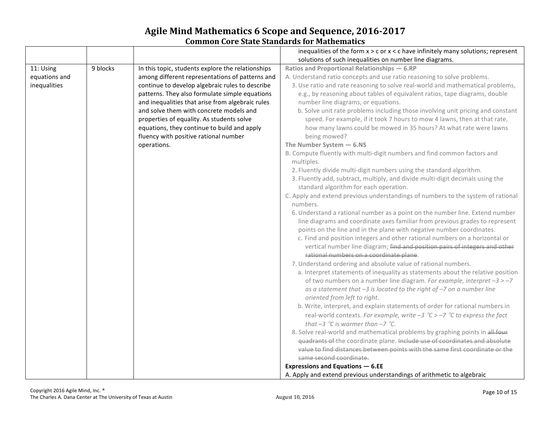|               |          |                                                   | inequalities of the form $x > c$ or $x < c$ have infinitely many solutions; represent                                                                      |
|---------------|----------|---------------------------------------------------|------------------------------------------------------------------------------------------------------------------------------------------------------------|
|               |          |                                                   | solutions of such inequalities on number line diagrams.                                                                                                    |
| 11: Using     | 9 blocks | In this topic, students explore the relationships | Ratios and Proportional Relationships - 6.RP                                                                                                               |
| equations and |          | among different representations of patterns and   | A. Understand ratio concepts and use ratio reasoning to solve problems.                                                                                    |
| inequalities  |          | continue to develop algebraic rules to describe   | 3. Use ratio and rate reasoning to solve real-world and mathematical problems,                                                                             |
|               |          | patterns. They also formulate simple equations    | e.g., by reasoning about tables of equivalent ratios, tape diagrams, double                                                                                |
|               |          | and inequalities that arise from algebraic rules  | number line diagrams, or equations.                                                                                                                        |
|               |          | and solve them with concrete models and           | b. Solve unit rate problems including those involving unit pricing and constant                                                                            |
|               |          | properties of equality. As students solve         | speed. For example, if it took 7 hours to mow 4 lawns, then at that rate,                                                                                  |
|               |          | equations, they continue to build and apply       | how many lawns could be mowed in 35 hours? At what rate were lawns                                                                                         |
|               |          | fluency with positive rational number             | being mowed?                                                                                                                                               |
|               |          | operations.                                       | The Number System $-6.$ NS                                                                                                                                 |
|               |          |                                                   | B. Compute fluently with multi-digit numbers and find common factors and                                                                                   |
|               |          |                                                   | multiples.                                                                                                                                                 |
|               |          |                                                   | 2. Fluently divide multi-digit numbers using the standard algorithm.                                                                                       |
|               |          |                                                   | 3. Fluently add, subtract, multiply, and divide multi-digit decimals using the                                                                             |
|               |          |                                                   | standard algorithm for each operation.                                                                                                                     |
|               |          |                                                   | C. Apply and extend previous understandings of numbers to the system of rational                                                                           |
|               |          |                                                   | numbers.                                                                                                                                                   |
|               |          |                                                   | 6. Understand a rational number as a point on the number line. Extend number                                                                               |
|               |          |                                                   | line diagrams and coordinate axes familiar from previous grades to represent                                                                               |
|               |          |                                                   | points on the line and in the plane with negative number coordinates.                                                                                      |
|               |          |                                                   | c. Find and position integers and other rational numbers on a horizontal or<br>vertical number line diagram; find and position pairs of integers and other |
|               |          |                                                   | rational numbers on a coordinate plane.                                                                                                                    |
|               |          |                                                   | 7. Understand ordering and absolute value of rational numbers.                                                                                             |
|               |          |                                                   | a. Interpret statements of inequality as statements about the relative position                                                                            |
|               |          |                                                   | of two numbers on a number line diagram. For example, interpret $-3 > -7$                                                                                  |
|               |          |                                                   | as a statement that $-3$ is located to the right of $-7$ on a number line                                                                                  |
|               |          |                                                   | oriented from left to right.                                                                                                                               |
|               |          |                                                   | b. Write, interpret, and explain statements of order for rational numbers in                                                                               |
|               |          |                                                   | real-world contexts. For example, write $-3$ °C > $-7$ °C to express the fact                                                                              |
|               |          |                                                   | that $-3$ °C is warmer than $-7$ °C.                                                                                                                       |
|               |          |                                                   | 8. Solve real-world and mathematical problems by graphing points in all four                                                                               |
|               |          |                                                   | quadrants of the coordinate plane. Include use of coordinates and absolute                                                                                 |
|               |          |                                                   | value to find distances between points with the same first coordinate or the                                                                               |
|               |          |                                                   | same second coordinate.                                                                                                                                    |
|               |          |                                                   | <b>Expressions and Equations - 6.EE</b>                                                                                                                    |
|               |          |                                                   | A. Apply and extend previous understandings of arithmetic to algebraic                                                                                     |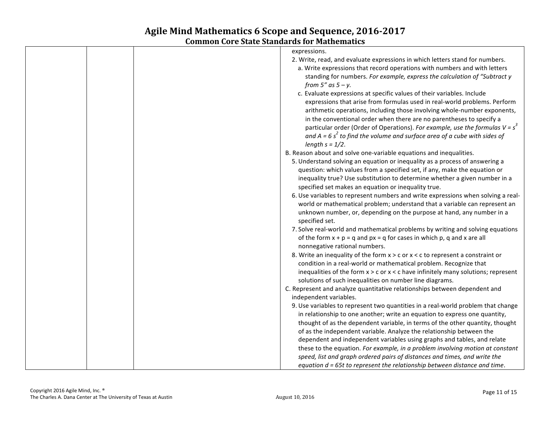| expressions.                                                                          |
|---------------------------------------------------------------------------------------|
| 2. Write, read, and evaluate expressions in which letters stand for numbers.          |
| a. Write expressions that record operations with numbers and with letters             |
| standing for numbers. For example, express the calculation of "Subtract y             |
| from $5''$ as $5 - y$ .                                                               |
| c. Evaluate expressions at specific values of their variables. Include                |
| expressions that arise from formulas used in real-world problems. Perform             |
| arithmetic operations, including those involving whole-number exponents,              |
| in the conventional order when there are no parentheses to specify a                  |
| particular order (Order of Operations). For example, use the formulas $V = s^3$       |
| and $A = 6 s2$ to find the volume and surface area of a cube with sides of            |
| length $s = 1/2$ .                                                                    |
| B. Reason about and solve one-variable equations and inequalities.                    |
| 5. Understand solving an equation or inequality as a process of answering a           |
| question: which values from a specified set, if any, make the equation or             |
| inequality true? Use substitution to determine whether a given number in a            |
| specified set makes an equation or inequality true.                                   |
| 6. Use variables to represent numbers and write expressions when solving a real-      |
| world or mathematical problem; understand that a variable can represent an            |
| unknown number, or, depending on the purpose at hand, any number in a                 |
| specified set.                                                                        |
| 7. Solve real-world and mathematical problems by writing and solving equations        |
| of the form $x + p = q$ and $px = q$ for cases in which p, q and x are all            |
| nonnegative rational numbers.                                                         |
| 8. Write an inequality of the form $x > c$ or $x < c$ to represent a constraint or    |
| condition in a real-world or mathematical problem. Recognize that                     |
| inequalities of the form $x > c$ or $x < c$ have infinitely many solutions; represent |
| solutions of such inequalities on number line diagrams.                               |
| C. Represent and analyze quantitative relationships between dependent and             |
| independent variables.                                                                |
| 9. Use variables to represent two quantities in a real-world problem that change      |
| in relationship to one another; write an equation to express one quantity,            |
| thought of as the dependent variable, in terms of the other quantity, thought         |
| of as the independent variable. Analyze the relationship between the                  |
| dependent and independent variables using graphs and tables, and relate               |
| these to the equation. For example, in a problem involving motion at constant         |
| speed, list and graph ordered pairs of distances and times, and write the             |
| equation $d = 65t$ to represent the relationship between distance and time.           |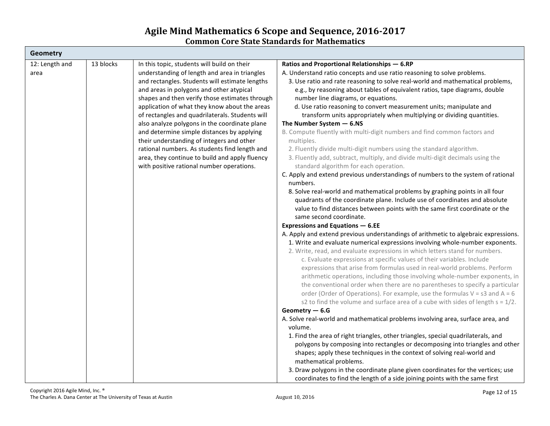| Ratios and Proportional Relationships - 6.RP<br>A. Understand ratio concepts and use ratio reasoning to solve problems.<br>3. Use ratio and rate reasoning to solve real-world and mathematical problems,<br>e.g., by reasoning about tables of equivalent ratios, tape diagrams, double<br>number line diagrams, or equations.<br>d. Use ratio reasoning to convert measurement units; manipulate and<br>transform units appropriately when multiplying or dividing quantities.<br>The Number System $-6.$ NS<br>B. Compute fluently with multi-digit numbers and find common factors and<br>multiples.<br>2. Fluently divide multi-digit numbers using the standard algorithm.<br>3. Fluently add, subtract, multiply, and divide multi-digit decimals using the<br>standard algorithm for each operation.<br>C. Apply and extend previous understandings of numbers to the system of rational<br>numbers.<br>8. Solve real-world and mathematical problems by graphing points in all four<br>quadrants of the coordinate plane. Include use of coordinates and absolute<br>value to find distances between points with the same first coordinate or the<br>same second coordinate.<br><b>Expressions and Equations - 6.EE</b><br>A. Apply and extend previous understandings of arithmetic to algebraic expressions.<br>1. Write and evaluate numerical expressions involving whole-number exponents.<br>2. Write, read, and evaluate expressions in which letters stand for numbers.<br>c. Evaluate expressions at specific values of their variables. Include<br>expressions that arise from formulas used in real-world problems. Perform<br>arithmetic operations, including those involving whole-number exponents, in<br>the conventional order when there are no parentheses to specify a particular<br>order (Order of Operations). For example, use the formulas $V = s3$ and $A = 6$<br>s2 to find the volume and surface area of a cube with sides of length $s = 1/2$ .<br>Geometry $-6.$ G<br>A. Solve real-world and mathematical problems involving area, surface area, and<br>volume.<br>1. Find the area of right triangles, other triangles, special quadrilaterals, and<br>polygons by composing into rectangles or decomposing into triangles and other<br>shapes; apply these techniques in the context of solving real-world and<br>mathematical problems.<br>3. Draw polygons in the coordinate plane given coordinates for the vertices; use |
|-------------------------------------------------------------------------------------------------------------------------------------------------------------------------------------------------------------------------------------------------------------------------------------------------------------------------------------------------------------------------------------------------------------------------------------------------------------------------------------------------------------------------------------------------------------------------------------------------------------------------------------------------------------------------------------------------------------------------------------------------------------------------------------------------------------------------------------------------------------------------------------------------------------------------------------------------------------------------------------------------------------------------------------------------------------------------------------------------------------------------------------------------------------------------------------------------------------------------------------------------------------------------------------------------------------------------------------------------------------------------------------------------------------------------------------------------------------------------------------------------------------------------------------------------------------------------------------------------------------------------------------------------------------------------------------------------------------------------------------------------------------------------------------------------------------------------------------------------------------------------------------------------------------------------------------------------------------------------------------------------------------------------------------------------------------------------------------------------------------------------------------------------------------------------------------------------------------------------------------------------------------------------------------------------------------------------------------------------------------------------------------------------------------------------------------------------------------------------|
|                                                                                                                                                                                                                                                                                                                                                                                                                                                                                                                                                                                                                                                                                                                                                                                                                                                                                                                                                                                                                                                                                                                                                                                                                                                                                                                                                                                                                                                                                                                                                                                                                                                                                                                                                                                                                                                                                                                                                                                                                                                                                                                                                                                                                                                                                                                                                                                                                                                                         |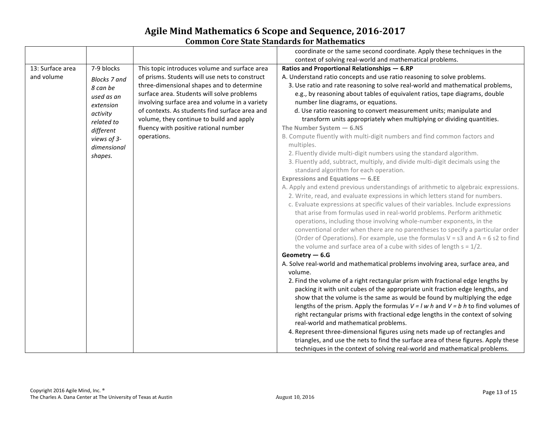|                  |                     |                                                | coordinate or the same second coordinate. Apply these techniques in the                                                                          |
|------------------|---------------------|------------------------------------------------|--------------------------------------------------------------------------------------------------------------------------------------------------|
|                  |                     |                                                | context of solving real-world and mathematical problems.                                                                                         |
| 13: Surface area | 7-9 blocks          | This topic introduces volume and surface area  | Ratios and Proportional Relationships - 6.RP                                                                                                     |
| and volume       | <b>Blocks 7 and</b> | of prisms. Students will use nets to construct | A. Understand ratio concepts and use ratio reasoning to solve problems.                                                                          |
|                  | 8 can be            | three-dimensional shapes and to determine      | 3. Use ratio and rate reasoning to solve real-world and mathematical problems,                                                                   |
|                  | used as an          | surface area. Students will solve problems     | e.g., by reasoning about tables of equivalent ratios, tape diagrams, double                                                                      |
|                  | extension           | involving surface area and volume in a variety | number line diagrams, or equations.                                                                                                              |
|                  | activity            | of contexts. As students find surface area and | d. Use ratio reasoning to convert measurement units; manipulate and                                                                              |
|                  | related to          | volume, they continue to build and apply       | transform units appropriately when multiplying or dividing quantities.                                                                           |
|                  | different           | fluency with positive rational number          | The Number System $-6.$ NS                                                                                                                       |
|                  | views of 3-         | operations.                                    | B. Compute fluently with multi-digit numbers and find common factors and                                                                         |
|                  | dimensional         |                                                | multiples.                                                                                                                                       |
|                  | shapes.             |                                                | 2. Fluently divide multi-digit numbers using the standard algorithm.                                                                             |
|                  |                     |                                                | 3. Fluently add, subtract, multiply, and divide multi-digit decimals using the                                                                   |
|                  |                     |                                                | standard algorithm for each operation.                                                                                                           |
|                  |                     |                                                | <b>Expressions and Equations - 6.EE</b>                                                                                                          |
|                  |                     |                                                | A. Apply and extend previous understandings of arithmetic to algebraic expressions.                                                              |
|                  |                     |                                                | 2. Write, read, and evaluate expressions in which letters stand for numbers.                                                                     |
|                  |                     |                                                | c. Evaluate expressions at specific values of their variables. Include expressions                                                               |
|                  |                     |                                                | that arise from formulas used in real-world problems. Perform arithmetic<br>operations, including those involving whole-number exponents, in the |
|                  |                     |                                                | conventional order when there are no parentheses to specify a particular order                                                                   |
|                  |                     |                                                | (Order of Operations). For example, use the formulas $V = s3$ and $A = 6 s2$ to find                                                             |
|                  |                     |                                                | the volume and surface area of a cube with sides of length $s = 1/2$ .                                                                           |
|                  |                     |                                                | Geometry $-6.$                                                                                                                                   |
|                  |                     |                                                | A. Solve real-world and mathematical problems involving area, surface area, and                                                                  |
|                  |                     |                                                | volume.                                                                                                                                          |
|                  |                     |                                                | 2. Find the volume of a right rectangular prism with fractional edge lengths by                                                                  |
|                  |                     |                                                | packing it with unit cubes of the appropriate unit fraction edge lengths, and                                                                    |
|                  |                     |                                                | show that the volume is the same as would be found by multiplying the edge                                                                       |
|                  |                     |                                                | lengths of the prism. Apply the formulas $V = l w h$ and $V = b h$ to find volumes of                                                            |
|                  |                     |                                                | right rectangular prisms with fractional edge lengths in the context of solving                                                                  |
|                  |                     |                                                | real-world and mathematical problems.                                                                                                            |
|                  |                     |                                                | 4. Represent three-dimensional figures using nets made up of rectangles and                                                                      |
|                  |                     |                                                | triangles, and use the nets to find the surface area of these figures. Apply these                                                               |
|                  |                     |                                                | techniques in the context of solving real-world and mathematical problems.                                                                       |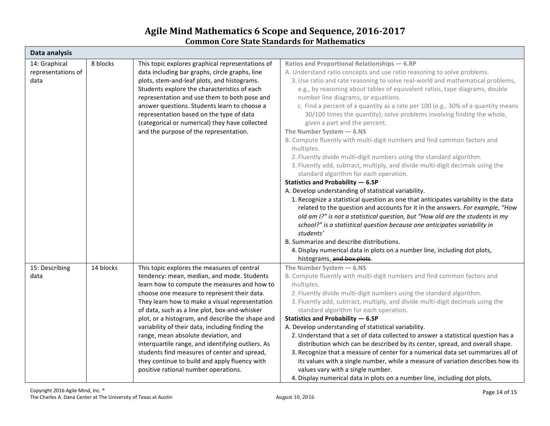| Data analysis      |           |                                                   |                                                                                     |  |  |
|--------------------|-----------|---------------------------------------------------|-------------------------------------------------------------------------------------|--|--|
| 14: Graphical      | 8 blocks  | This topic explores graphical representations of  | Ratios and Proportional Relationships - 6.RP                                        |  |  |
| representations of |           | data including bar graphs, circle graphs, line    | A. Understand ratio concepts and use ratio reasoning to solve problems.             |  |  |
| data               |           | plots, stem-and-leaf plots, and histograms.       | 3. Use ratio and rate reasoning to solve real-world and mathematical problems,      |  |  |
|                    |           | Students explore the characteristics of each      | e.g., by reasoning about tables of equivalent ratios, tape diagrams, double         |  |  |
|                    |           | representation and use them to both pose and      | number line diagrams, or equations.                                                 |  |  |
|                    |           | answer questions. Students learn to choose a      | c. Find a percent of a quantity as a rate per 100 (e.g., 30% of a quantity means    |  |  |
|                    |           | representation based on the type of data          | 30/100 times the quantity); solve problems involving finding the whole,             |  |  |
|                    |           | (categorical or numerical) they have collected    | given a part and the percent.                                                       |  |  |
|                    |           | and the purpose of the representation.            | The Number System $-6.$ NS                                                          |  |  |
|                    |           |                                                   | B. Compute fluently with multi-digit numbers and find common factors and            |  |  |
|                    |           |                                                   | multiples.                                                                          |  |  |
|                    |           |                                                   | 2. Fluently divide multi-digit numbers using the standard algorithm.                |  |  |
|                    |           |                                                   | 3. Fluently add, subtract, multiply, and divide multi-digit decimals using the      |  |  |
|                    |           |                                                   | standard algorithm for each operation.                                              |  |  |
|                    |           |                                                   | Statistics and Probability - 6.SP                                                   |  |  |
|                    |           |                                                   | A. Develop understanding of statistical variability.                                |  |  |
|                    |           |                                                   | 1. Recognize a statistical question as one that anticipates variability in the data |  |  |
|                    |           |                                                   | related to the question and accounts for it in the answers. For example, "How       |  |  |
|                    |           |                                                   | old am I?" is not a statistical question, but "How old are the students in my       |  |  |
|                    |           |                                                   | school?" is a statistical question because one anticipates variability in           |  |  |
|                    |           |                                                   | students'                                                                           |  |  |
|                    |           |                                                   | B. Summarize and describe distributions.                                            |  |  |
|                    |           |                                                   | 4. Display numerical data in plots on a number line, including dot plots,           |  |  |
|                    |           |                                                   | histograms, and box plots.                                                          |  |  |
| 15: Describing     | 14 blocks | This topic explores the measures of central       | The Number System $-6.$ NS                                                          |  |  |
| data               |           | tendency: mean, median, and mode. Students        | B. Compute fluently with multi-digit numbers and find common factors and            |  |  |
|                    |           | learn how to compute the measures and how to      | multiples.                                                                          |  |  |
|                    |           | choose one measure to represent their data.       | 2. Fluently divide multi-digit numbers using the standard algorithm.                |  |  |
|                    |           | They learn how to make a visual representation    | 3. Fluently add, subtract, multiply, and divide multi-digit decimals using the      |  |  |
|                    |           | of data, such as a line plot, box-and-whisker     | standard algorithm for each operation.                                              |  |  |
|                    |           | plot, or a histogram, and describe the shape and  | Statistics and Probability - 6.SP                                                   |  |  |
|                    |           | variability of their data, including finding the  | A. Develop understanding of statistical variability.                                |  |  |
|                    |           | range, mean absolute deviation, and               | 2. Understand that a set of data collected to answer a statistical question has a   |  |  |
|                    |           | interquartile range, and identifying outliers. As | distribution which can be described by its center, spread, and overall shape.       |  |  |
|                    |           | students find measures of center and spread,      | 3. Recognize that a measure of center for a numerical data set summarizes all of    |  |  |
|                    |           | they continue to build and apply fluency with     | its values with a single number, while a measure of variation describes how its     |  |  |
|                    |           | positive rational number operations.              | values vary with a single number.                                                   |  |  |
|                    |           |                                                   | 4. Display numerical data in plots on a number line, including dot plots,           |  |  |